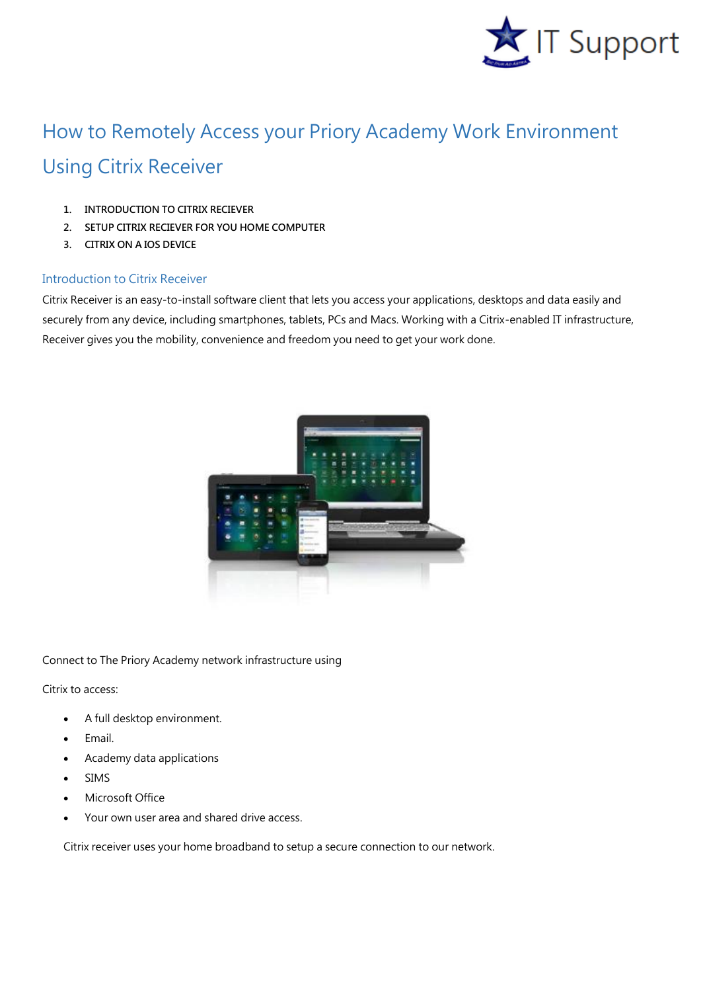

## How to Remotely Access your Priory Academy Work Environment Using Citrix Receiver

- **1. INTRODUCTION TO CITRIX RECIEVER**
- **2. SETUP CITRIX RECIEVER FOR YOU HOME COMPUTER**
- **3. CITRIX ON A IOS DEVICE**

## Introduction to Citrix Receiver

Citrix Receiver is an easy-to-install software client that lets you access your applications, desktops and data easily and securely from any device, including smartphones, tablets, PCs and Macs. Working with a Citrix-enabled IT infrastructure, Receiver gives you the mobility, convenience and freedom you need to get your work done.



Connect to The Priory Academy network infrastructure using

Citrix to access:

- A full desktop environment.
- Email.
- Academy data applications
- SIMS
- Microsoft Office
- Your own user area and shared drive access.

Citrix receiver uses your home broadband to setup a secure connection to our network.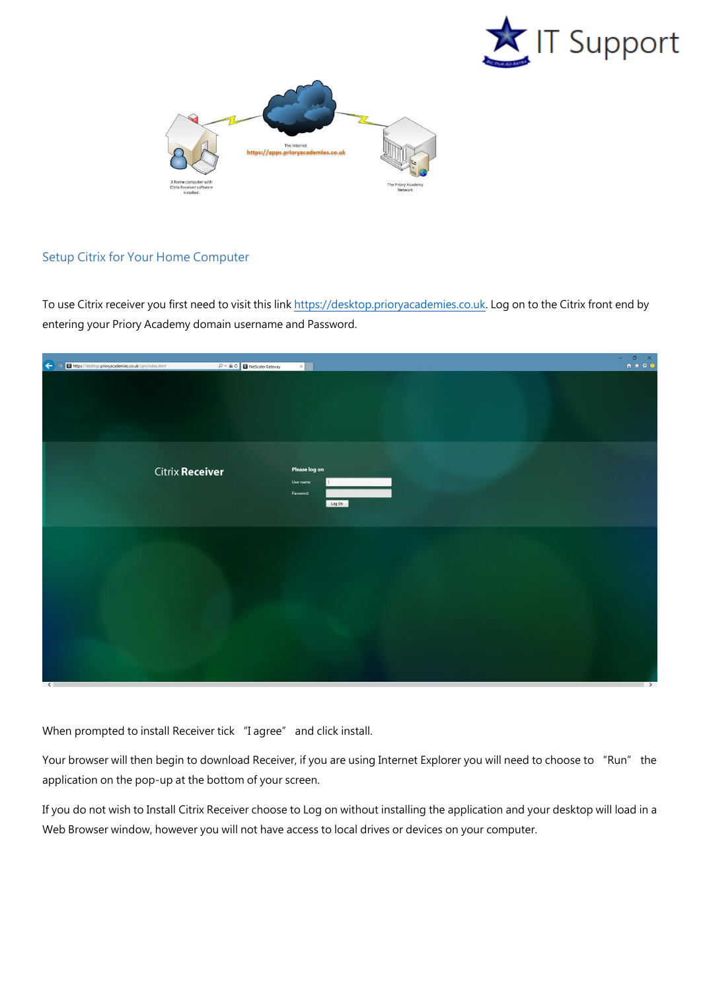



## Setup Citrix for Your Home Computer

To use Citrix receiver you first need to visit this link [https://desktop.prioryacademies.co.uk.](https://desktop.prioryacademies.co.uk/) Log on to the Citrix front end by entering your Priory Academy domain username and Password.

| A altres://desktop.prioryacademies.co.uk/vpn/index.html | $\boxed{\mathcal{P} \times \triangleq \mathcal{C}}$<br>RetScaler Gateway<br>$\times$ |               |
|---------------------------------------------------------|--------------------------------------------------------------------------------------|---------------|
|                                                         |                                                                                      |               |
| <b>Citrix Receiver</b>                                  | Please log on<br>User name:<br>Password:<br>Log On                                   |               |
|                                                         |                                                                                      |               |
| $\sqrt{2}$                                              |                                                                                      | $\rightarrow$ |

When prompted to install Receiver tick "I agree" and click install.

Your browser will then begin to download Receiver, if you are using Internet Explorer you will need to choose to "Run" the application on the pop-up at the bottom of your screen.

If you do not wish to Install Citrix Receiver choose to Log on without installing the application and your desktop will load in a Web Browser window, however you will not have access to local drives or devices on your computer.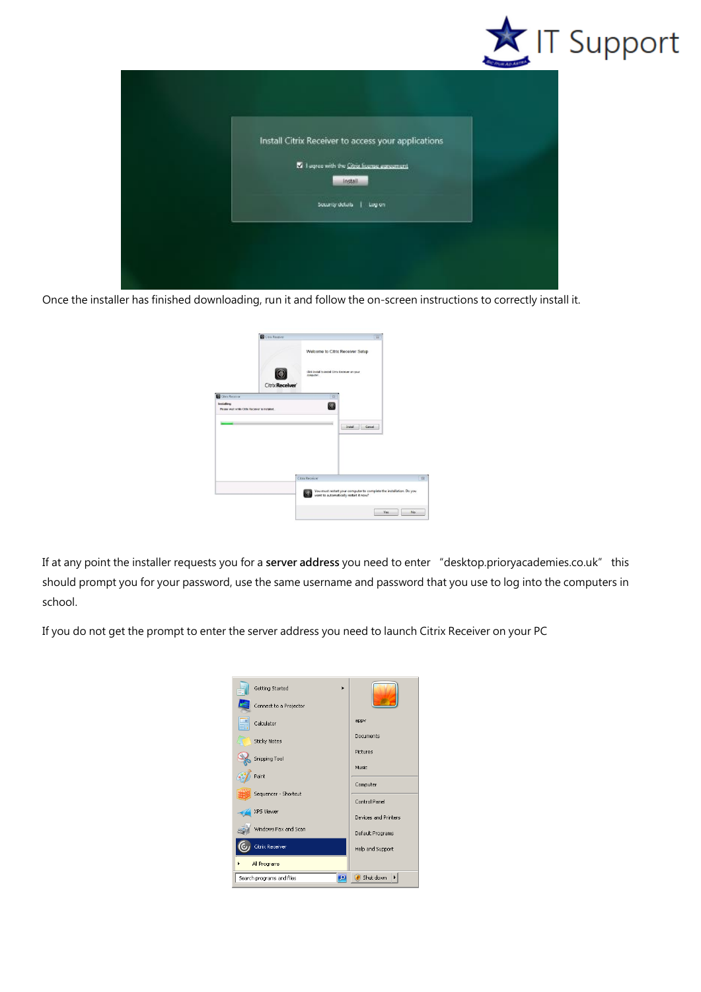

| Install Citrix Receiver to access your applications      |  |
|----------------------------------------------------------|--|
| 22 I eqree with the Citrix license autoconant<br>Install |  |
| Security details<br><b>Lugion</b>                        |  |

Once the installer has finished downloading, run it and follow the on-screen instructions to correctly install it.

|                                                              | Citra Receiver  |                                                              | $\overline{\mathbf{u}}$                                             |   |
|--------------------------------------------------------------|-----------------|--------------------------------------------------------------|---------------------------------------------------------------------|---|
|                                                              |                 | Welcome to Citrix Receiver Setup                             |                                                                     |   |
|                                                              | Citrix Receiver | Clok Install to install Citrix Receiver on your<br>computer. |                                                                     |   |
| Citrix Receiver                                              |                 | $\Sigma$                                                     |                                                                     |   |
| Installing<br>Please wait while Citrix Receiver is installed |                 | $\circledcirc$                                               |                                                                     |   |
|                                                              |                 |                                                              |                                                                     |   |
|                                                              |                 |                                                              | Cancel<br><b>Install</b>                                            |   |
|                                                              |                 |                                                              |                                                                     |   |
|                                                              |                 |                                                              |                                                                     |   |
|                                                              |                 |                                                              |                                                                     |   |
|                                                              |                 |                                                              |                                                                     |   |
|                                                              |                 | Citrix Receiver                                              |                                                                     | 容 |
|                                                              |                 |                                                              | You must restart your computer to complete the installation. Do you |   |
|                                                              |                 |                                                              | want to automatically restart it now?                               |   |

If at any point the installer requests you for a **server address** you need to enter "desktop.prioryacademies.co.uk" this should prompt you for your password, use the same username and password that you use to log into the computers in school.

If you do not get the prompt to enter the server address you need to launch Citrix Receiver on your PC

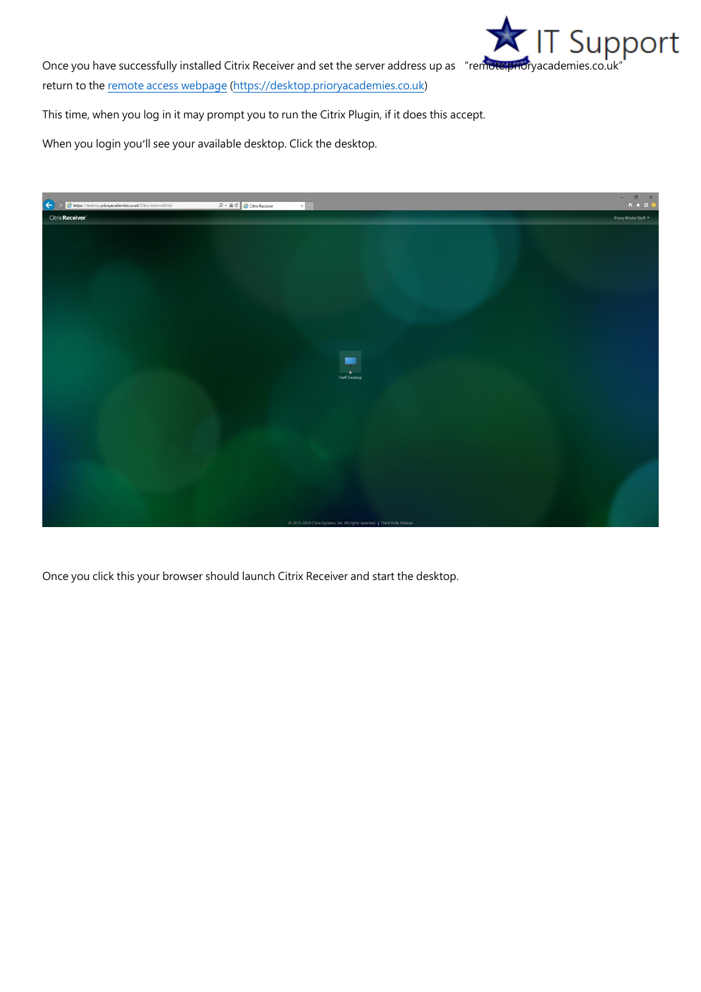

return to th[e remote access webpage](https://desktop.prioryacademies.co.uk/) [\(https://desktop.prioryacademies.co.uk\)](https://desktop.prioryacademies.co.uk/)

This time, when you log in it may prompt you to run the Citrix Plugin, if it does this accept.

When you login you'll see your available desktop. Click the desktop.



Once you click this your browser should launch Citrix Receiver and start the desktop.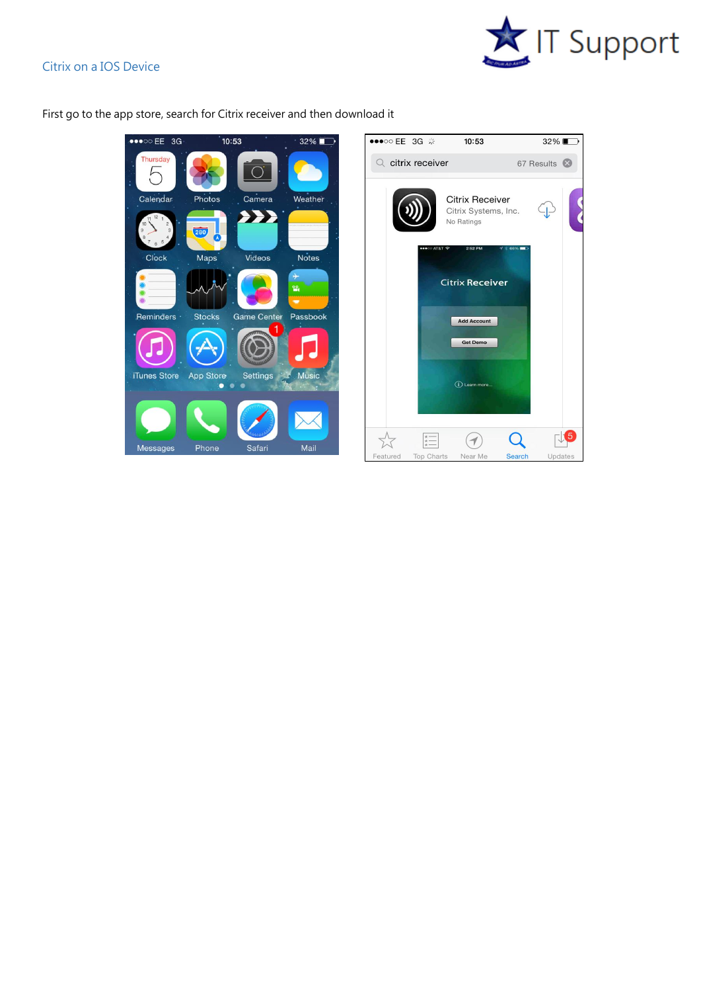## Citrix on a IOS Device





First go to the app store, search for Citrix receiver and then download it

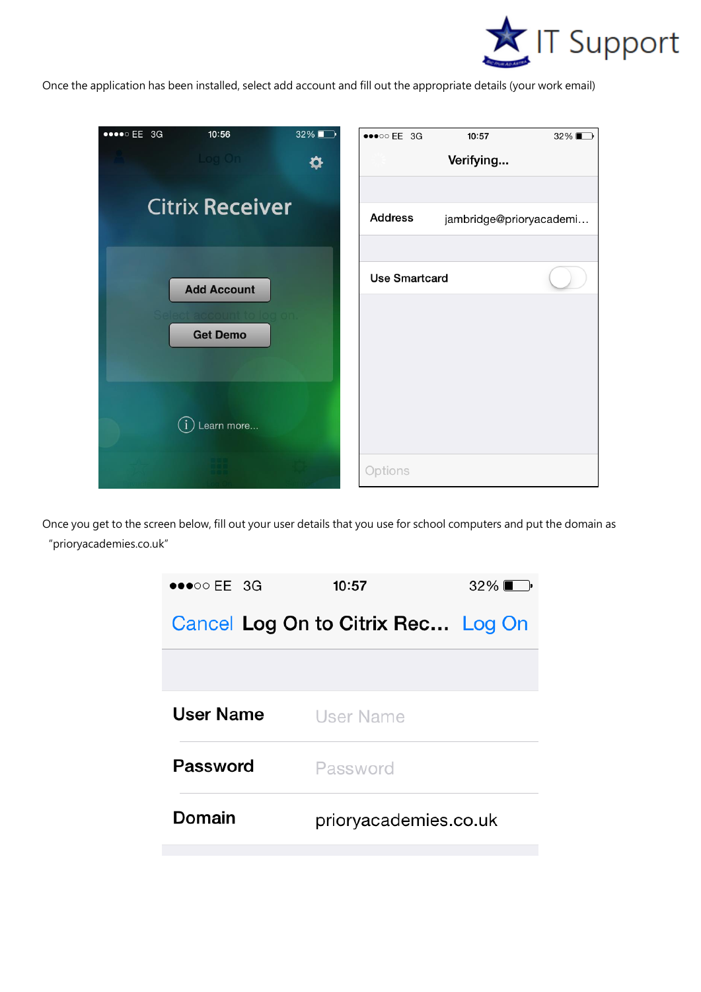

Once the application has been installed, select add account and fill out the appropriate details (your work email)

| $\bullet\bullet\bullet\circ\text{EE}$ 3G | 10:56                  | 32% | $\bullet \bullet \bullet \circ \circ \mathsf{EE}$ 3G | 10:57                   | $32\%$ |
|------------------------------------------|------------------------|-----|------------------------------------------------------|-------------------------|--------|
|                                          | Log On                 | ✿   |                                                      | Verifying               |        |
|                                          |                        |     |                                                      |                         |        |
|                                          | <b>Citrix Receiver</b> |     | <b>Address</b>                                       | jambridge@prioryacademi |        |
|                                          |                        |     |                                                      |                         |        |
|                                          | <b>Add Account</b>     |     | <b>Use Smartcard</b>                                 |                         |        |
|                                          |                        |     |                                                      |                         |        |
|                                          | <b>Get Demo</b>        |     |                                                      |                         |        |
|                                          |                        |     |                                                      |                         |        |
|                                          |                        |     |                                                      |                         |        |
|                                          | Learn more             |     |                                                      |                         |        |
|                                          |                        |     | Options                                              |                         |        |

Once you get to the screen below, fill out your user details that you use for school computers and put the domain as "prioryacademies.co.uk"